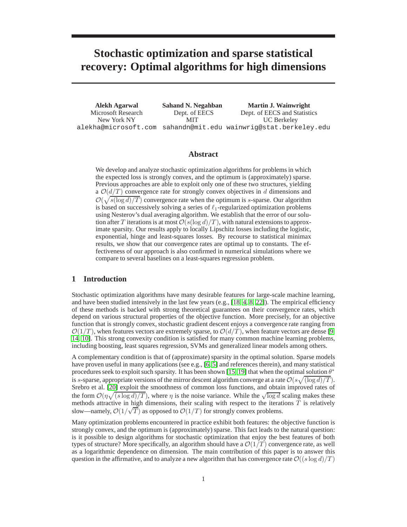# **Stochastic optimization and sparse statistical recovery: Optimal algorithms for high dimensions**

**Alekh Agarwal** Microsoft Research New York NY alekha@microsoft.com sahandn@mit.edu wainwrig@stat.berkeley.edu **Sahand N. Negahban** Dept. of EECS MIT **Martin J. Wainwright** Dept. of EECS and Statistics UC Berkeley

## **Abstract**

We develop and analyze stochastic optimization algorithms for problems in which the expected loss is strongly convex, and the optimum is (approximately) sparse. Previous approaches are able to exploit only one of these two structures, yielding a  $\mathcal{O}(d/T)$  convergence rate for strongly convex objectives in d dimensions and  $\mathcal{O}(\sqrt{s(\log d)/T})$  convergence rate when the optimum is s-sparse. Our algorithm is based on successively solving a series of  $\ell_1$ -regularized optimization problems using Nesterov's dual averaging algorithm. We establish that the error of our solution after T iterations is at most  $\mathcal{O}(s(\log d)/T)$ , with natural extensions to approximate sparsity. Our results apply to locally Lipschitz losses including the logistic, exponential, hinge and least-squares losses. By recourse to statistical minimax results, we show that our convergence rates are optimal up to constants. The effectiveness of our approach is also confirmed in numerical simulations where we compare to several baselines on a least-squares regression problem.

## **1 Introduction**

Stochastic optimization algorithms have many desirable features for large-scale machine learning, and have been studied intensively in the last few years (e.g.,  $[18, 4, 8, 22]$ ). The empirical efficiency of these methods is backed with strong theoretical guarantees on their convergence rates, which depend on various structural properties of the objective function. More precisely, for an objective function that is strongly convex, stochastic gradient descent enjoys a convergence rate ranging from  $\mathcal{O}(1/T)$ , when features vectors are extremely sparse, to  $\mathcal{O}(d/T)$ , when feature vectors are dense [9, 14, 10]. This strong convexity condition is satisfied for many common machine learning problems, including boosting, least squares regression, SVMs and generalized linear models among others.

A complementary condition is that of (approximate) sparsity in the optimal solution. Sparse models have proven useful in many applications (see e.g., [6, 5] and references therein), and many statistical procedures seek to exploit such sparsity. It has been shown [15, 19] that when the optimal solution  $\theta^*$ is s-sparse, appropriate versions of the mirror descent algorithm converge at a rate  $\mathcal{O}(s\sqrt{(\log d)/T})$ . Srebro et al. [20] exploit the smoothness of common loss functions, and obtain improved rates of the form  $\mathcal{O}(\eta \sqrt{(s \log d)/T})$ , where  $\eta$  is the noise variance. While the  $\sqrt{\log d}$  scaling makes these methods attractive in high dimensions, their scaling with respect to the iterations  $T$  is relatively slow—namely,  $\mathcal{O}(1/\sqrt{T})$  as opposed to  $\mathcal{O}(1/T)$  for strongly convex problems.

Many optimization problems encountered in practice exhibit both features: the objective function is strongly convex, and the optimum is (approximately) sparse. This fact leads to the natural question: is it possible to design algorithms for stochastic optimization that enjoy the best features of both types of structure? More specifically, an algorithm should have a  $\mathcal{O}(1/T)$  convergence rate, as well as a logarithmic dependence on dimension. The main contribution of this paper is to answer this question in the affirmative, and to analyze a new algorithm that has convergence rate  $\mathcal{O}((s \log d)/T)$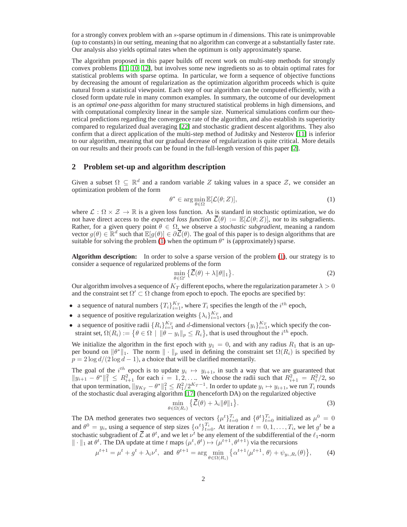for a strongly convex problem with an s-sparse optimum in  $d$  dimensions. This rate is unimprovable (up to constants) in our setting, meaning that no algorithm can converge at a substantially faster rate. Our analysis also yields optimal rates when the optimum is only approximately sparse.

The algorithm proposed in this paper builds off recent work on multi-step methods for strongly convex problems [11, 10, 12], but involves some new ingredients so as to obtain optimal rates for statistical problems with sparse optima. In particular, we form a sequence of objective functions by decreasing the amount of regularization as the optimization algorithm proceeds which is quite natural from a statistical viewpoint. Each step of our algorithm can be computed efficiently, with a closed form update rule in many common examples. In summary, the outcome of our development is an *optimal one-pass* algorithm for many structured statistical problems in high dimensions, and with computational complexity linear in the sample size. Numerical simulations confirm our theoretical predictions regarding the convergence rate of the algorithm, and also establish its superiority compared to regularized dual averaging [22] and stochastic gradient descent algorithms. They also confirm that a direct application of the multi-step method of Juditsky and Nesterov [11] is inferior to our algorithm, meaning that our gradual decrease of regularization is quite critical. More details on our results and their proofs can be found in the full-length version of this paper [2].

## **2 Problem set-up and algorithm description**

Given a subset  $\Omega \subseteq \mathbb{R}^d$  and a random variable Z taking values in a space Z, we consider an optimization problem of the form

$$
\theta^* \in \arg\min_{\theta \in \Omega} \mathbb{E}[\mathcal{L}(\theta; Z)],\tag{1}
$$

where  $\mathcal{L}: \Omega \times \mathcal{Z} \to \mathbb{R}$  is a given loss function. As is standard in stochastic optimization, we do not have direct access to the *expected loss function*  $\overline{L}(\theta) := \mathbb{E}[\mathcal{L}(\theta; Z)]$ , nor to its subgradients. Rather, for a given query point  $\theta \in \Omega$ , we observe a *stochastic subgradient*, meaning a random vector  $g(\theta) \in \mathbb{R}^d$  such that  $\mathbb{E}[g(\theta)] \in \partial \overline{\mathcal{L}}(\theta)$ . The goal of this paper is to design algorithms that are suitable for solving the problem (1) when the optimum  $\theta^*$  is (approximately) sparse.

**Algorithm description:** In order to solve a sparse version of the problem (1), our strategy is to consider a sequence of regularized problems of the form

$$
\min_{\theta \in \Omega'} \left\{ \overline{\mathcal{L}}(\theta) + \lambda \|\theta\|_1 \right\}.
$$
 (2)

Our algorithm involves a sequence of  $K_T$  different epochs, where the regularization parameter  $\lambda > 0$ and the constraint set  $\Omega' \subset \Omega$  change from epoch to epoch. The epochs are specified by:

- a sequence of natural numbers  $\{T_i\}_{i=1}^{K_T}$ , where  $T_i$  specifies the length of the  $i^{th}$  epoch,
- a sequence of positive regularization weights  $\{\lambda_i\}_{i=1}^{K_T}$ , and
- a sequence of positive radii  $\{R_i\}_{i=1}^{K_T}$  and d-dimensional vectors  $\{y_i\}_{i=1}^{K_T}$ , which specify the constraint set,  $\Omega(R_i) := \{ \theta \in \Omega \mid ||\theta - y_i||_p \leq R_i \}$ , that is used throughout the  $i^{th}$  epoch.

We initialize the algorithm in the first epoch with  $y_1 = 0$ , and with any radius  $R_1$  that is an upper bound on  $\|\theta^*\|_1$ . The norm  $\|\cdot\|_p$  used in defining the constraint set  $\Omega(R_i)$  is specified by  $p = 2 \log d/(2 \log d - 1)$ , a choice that will be clarified momentarily.

The goal of the *i*<sup>th</sup> epoch is to update  $y_i \mapsto y_{i+1}$ , in such a way that we are guaranteed that  $||y_{i+1} - \theta^*||_1^2 \le R_{i+1}^2$  for each  $i = 1, 2, \dots$  We choose the radii such that  $R_{i+1}^2 = R_i^2/2$ , so that upon termination,  $||y_{K_T} - \theta^*||_1^2 \leq R_1^2/2^{K_T-1}$ . In order to update  $y_i \mapsto y_{i+1}$ , we run  $T_i$  rounds of the stochastic dual averaging algorithm [17] (henceforth DA) on the regularized objective

$$
\min_{\theta \in \Omega(R_i)} \left\{ \overline{\mathcal{L}}(\theta) + \lambda_i \|\theta\|_1 \right\}.
$$
\n(3)

The DA method generates two sequences of vectors  $\{\mu^t\}_{t=0}^{T_i}$  and  $\{\theta^t\}_{t=0}^{T_i}$  initialized as  $\mu^0 = 0$ and  $\theta^0 = y_i$ , using a sequence of step sizes  $\{\alpha^t\}_{t=0}^{T_i}$ . At iteration  $t = 0, 1, \dots, T_i$ , we let  $g^t$  be a stochastic subgradient of  $\overline{\mathcal{L}}$  at  $\theta^t$ , and we let  $\nu^t$  be any element of the subdifferential of the  $\ell_1$ -norm  $\|\cdot\|_1$  at  $\theta^t$ . The DA update at time t maps  $(\mu^t, \theta^t) \mapsto (\mu^{t+1}, \theta^{t+1})$  via the recursions

$$
\mu^{t+1} = \mu^t + g^t + \lambda_i \nu^t, \text{ and } \theta^{t+1} = \arg\min_{\theta \in \Omega(R_i)} \left\{ \alpha^{t+1} \langle \mu^{t+1}, \theta \rangle + \psi_{y_i, R_i}(\theta) \right\},\tag{4}
$$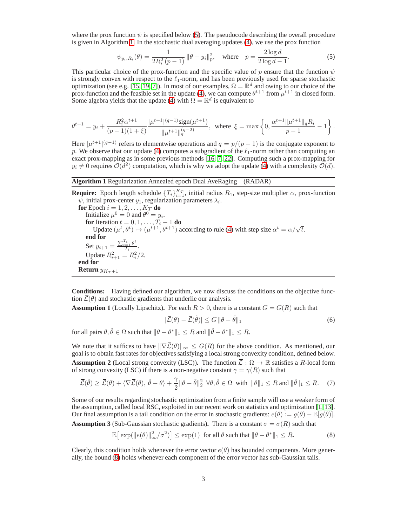where the prox function  $\psi$  is specified below (5). The pseudocode describing the overall procedure is given in Algorithm 1. In the stochastic dual averaging updates (4), we use the prox function

$$
\psi_{y_i, R_i}(\theta) = \frac{1}{2R_i^2(p-1)} \|\theta - y_i\|_p^2, \quad \text{where} \quad p = \frac{2\log d}{2\log d - 1}.
$$
 (5)

This particular choice of the prox-function and the specific value of p ensure that the function  $\psi$ is strongly convex with respect to the  $\ell_1$ -norm, and has been previously used for sparse stochastic optimization (see e.g. [15, 19, 7]). In most of our examples,  $\Omega = \mathbb{R}^d$  and owing to our choice of the prox-function and the feasible set in the update (4), we can compute  $\theta^{t+1}$  from  $\mu^{t+1}$  in closed form. Some algebra yields that the update (4) with  $\Omega = \mathbb{R}^d$  is equivalent to

$$
\theta^{t+1} = y_i + \frac{R_i^2 \alpha^{t+1}}{(p-1)(1+\xi)} \frac{|\mu^{t+1}|^{(q-1)} \text{sign}(\mu^{t+1})}{\|\mu^{t+1}\|_q^{(q-2)}}, \text{ where } \xi = \max\left\{0, \frac{\alpha^{t+1} \|\mu^{t+1}\|_q R_i}{p-1} - 1\right\}.
$$

Here  $|\mu^{t+1}|^{(q-1)}$  refers to elementwise operations and  $q = p/(p-1)$  is the conjugate exponent to p. We observe that our update (4) computes a subgradient of the  $\ell_1$ -norm rather than computing an exact prox-mapping as in some previous methods [16, 7, 22]. Computing such a prox-mapping for  $y_i \neq 0$  requires  $\mathcal{O}(d^2)$  computation, which is why we adopt the update (4) with a complexity  $\mathcal{O}(d)$ .

### **Algorithm 1** Regularization Annealed epoch Dual AveRaging (RADAR)

**Require:** Epoch length schedule  $\{T_i\}_{i=1}^{K_T}$ , initial radius  $R_1$ , step-size multiplier  $\alpha$ , prox-function  $\psi$ , initial prox-center  $y_1$ , regularization parameters  $\lambda_i$ .

**for** Epoch  $i = 1, 2, \ldots, K_T$  **do** Initialize  $\mu^0 = 0$  and  $\theta^0 = y_i$ . **for** Iteration  $t = 0, 1, ..., T_i - 1$  **do**<br>Update  $(\mu^t, \theta^t) \mapsto (\mu^{t+1}, \theta^{t+1})$  according to rule (4) with step size  $\alpha^t = \alpha/\sqrt{t}$ . **end for** Set  $y_{i+1} = \frac{\sum_{t=1}^{T_i} \theta^t}{T_i}$  $\frac{1}{T_i}^{\sigma}$ . Update  $R_{i+1}^2 = R_i^2/2$ . **end for Return**  $y_{K_T+1}$ 

**Conditions:** Having defined our algorithm, we now discuss the conditions on the objective function  $\overline{\mathcal{L}}(\theta)$  and stochastic gradients that underlie our analysis.

**Assumption 1** (Locally Lipschitz). For each  $R > 0$ , there is a constant  $G = G(R)$  such that

$$
|\overline{\mathcal{L}}(\theta) - \overline{\mathcal{L}}(\tilde{\theta})| \le G \|\theta - \tilde{\theta}\|_1
$$
\n(6)

for all pairs  $\theta, \tilde{\theta} \in \Omega$  such that  $\|\theta - \theta^*\|_1 \leq R$  and  $\|\tilde{\theta} - \theta^*\|_1 \leq R$ .

We note that it suffices to have  $\|\nabla \bar{\mathcal{L}}(\theta)\|_{\infty} \leq G(R)$  for the above condition. As mentioned, our goal is to obtain fast rates for objectives satisfying a local strong convexity condition, defined below. **Assumption 2** (Local strong convexity (LSC)). The function  $\overline{\mathcal{L}} : \Omega \to \mathbb{R}$  satisfies a R-local form of strong convexity (LSC) if there is a non-negative constant  $\gamma = \gamma(R)$  such that

$$
\overline{\mathcal{L}}(\tilde{\theta}) \ge \overline{\mathcal{L}}(\theta) + \langle \nabla \overline{\mathcal{L}}(\theta), \tilde{\theta} - \theta \rangle + \frac{\gamma}{2} \|\theta - \tilde{\theta}\|_2^2 \ \forall \theta, \tilde{\theta} \in \Omega \ \text{with} \ \|\theta\|_1 \le R \text{ and } \|\tilde{\theta}\|_1 \le R. \tag{7}
$$

Some of our results regarding stochastic optimization from a finite sample will use a weaker form of the assumption, called local RSC, exploited in our recent work on statistics and optimization [1, 13]. Our final assumption is a tail condition on the error in stochastic gradients:  $e(\theta) := g(\theta) - \mathbb{E}[g(\theta)].$ 

**Assumption 3** (Sub-Gaussian stochastic gradients). There is a constant  $\sigma = \sigma(R)$  such that

$$
\mathbb{E}\big[\exp(\|e(\theta)\|_{\infty}^2/\sigma^2)\big] \le \exp(1) \text{ for all } \theta \text{ such that } \|\theta - \theta^*\|_1 \le R. \tag{8}
$$

Clearly, this condition holds whenever the error vector  $e(\theta)$  has bounded components. More generally, the bound (8) holds whenever each component of the error vector has sub-Gaussian tails.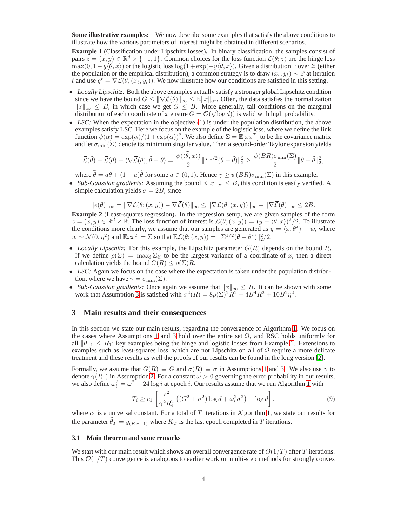**Some illustrative examples:** We now describe some examples that satisfy the above conditions to illustrate how the various parameters of interest might be obtained in different scenarios.

**Example 1** (Classification under Lipschitz losses)**.** In binary classification, the samples consist of pairs  $z = (x, y) \in \mathbb{R}^d \times \{-1, 1\}$ . Common choices for the loss function  $\mathcal{L}(\theta; z)$  are the hinge loss max $(0, 1-y\langle \theta, x \rangle)$  or the logistic loss log( $1+\exp(-y\langle \theta, x \rangle)$ . Given a distribution P over  $\mathcal{Z}$  (either the population or the empirical distribution), a common strategy is to draw  $(x_t, y_t) \sim \mathbb{P}$  at iteration t and use  $g^t = \nabla \mathcal{L}(\theta; (x_t, y_t))$ . We now illustrate how our conditions are satisfied in this setting.

- *Locally Lipschitz:* Both the above examples actually satisfy a stronger global Lipschitz condition since we have the bound  $G \leq ||\nabla \overline{\mathcal{L}}(\theta)||_{\infty} \leq \mathbb{E}||x||_{\infty}$ . Often, the data satisfies the normalization  $||x||_{\infty}$  ≤ B, in which case we get  $G \leq B$ . More generally, tail conditions on the marginal  $\lim_{n \to \infty} \frac{1}{n} \Sigma$ , in which case we get  $\sigma \geq \Sigma$ . More generally, and conditions on the matrix distribution of each coordinate of x ensure  $G = O(\sqrt{\log d})$  is valid with high probability.
- *LSC*: When the expectation in the objective (1) is under the population distribution, the above examples satisfy LSC. Here we focus on the example of the logistic loss, where we define the link function  $\psi(\alpha) = \exp(\alpha)/(1 + \exp(\alpha))^2$ . We also define  $\Sigma = \mathbb{E}[xx^T]$  to be the covariance matrix and let  $\sigma_{\min}(\Sigma)$  denote its minimum singular value. Then a second-order Taylor expansion yields

$$
\overline{\mathcal{L}}(\tilde{\theta}) - \overline{\mathcal{L}}(\theta) - \langle \nabla \overline{\mathcal{L}}(\theta), \tilde{\theta} - \theta \rangle = \frac{\psi(\langle \tilde{\theta}, x \rangle)}{2} \|\Sigma^{1/2}(\theta - \tilde{\theta})\|_2^2 \ge \frac{\psi(BR)\sigma_{\min}(\Sigma)}{2} \|\theta - \tilde{\theta}\|_2^2,
$$

where  $\tilde{\theta} = a\theta + (1 - a)\tilde{\theta}$  for some  $a \in (0, 1)$ . Hence  $\gamma \ge \psi(BR)\sigma_{\min}(\Sigma)$  in this example.

• *Sub-Gaussian gradients:* Assuming the bound  $\mathbb{E} \|x\|_{\infty} \leq B$ , this condition is easily verified. A simple calculation yields  $\sigma = 2B$ , since

$$
||e(\theta)||_{\infty} = ||\nabla \mathcal{L}(\theta; (x, y)) - \nabla \overline{\mathcal{L}}(\theta)||_{\infty} \le ||\nabla \mathcal{L}(\theta; (x, y))||_{\infty} + ||\nabla \overline{\mathcal{L}}(\theta)||_{\infty} \le 2B.
$$

**Example 2** (Least-squares regression)**.** In the regression setup, we are given samples of the form  $z = (x, y) \in \mathbb{R}^d \times \mathbb{R}$ . The loss function of interest is  $\mathcal{L}(\theta; (x, y)) = (y - \langle \theta, x \rangle)^2/2$ . To illustrate the conditions more clearly, we assume that our samples are generated as  $y = \langle x, \theta^* \rangle + w$ , where  $w \sim \mathcal{N}(0, \eta^2)$  and  $\mathbb{E}xx^T = \Sigma$  so that  $\mathbb{E}\mathcal{L}(\theta; (x, y)) = ||\Sigma^{1/2}(\theta - \theta^*)||_2^2/2$ .

- *Locally Lipschitz:* For this example, the Lipschitz parameter  $G(R)$  depends on the bound R. If we define  $\rho(\Sigma) = \max_i \Sigma_{ii}$  to be the largest variance of a coordinate of x, then a direct calculation yields the bound  $G(R) \le \rho(\Sigma)R$ .
- *LSC*: Again we focus on the case where the expectation is taken under the population distribution, where we have  $\gamma = \sigma_{\min}(\Sigma)$ .
- *Sub-Gaussian gradients:* Once again we assume that  $||x||_{\infty} \leq B$ . It can be shown with some work that Assumption 3 is satisfied with  $\sigma^2(R) = 8\rho(\Sigma)^2 R^2 + 4B^4 R^2 + 10B^2 \eta^2$ .

## **3 Main results and their consequences**

In this section we state our main results, regarding the convergence of Algorithm 1. We focus on the cases where Assumptions 1 and 3 hold over the entire set  $\Omega$ , and RSC holds uniformly for all  $\|\theta\|_1 \leq R_1$ ; key examples being the hinge and logistic losses from Example 1. Extensions to examples such as least-squares loss, which are not Lipschitz on all of  $\Omega$  require a more delicate treatment and these results as well the proofs of our results can be found in the long version [2].

Formally, we assume that  $G(R) \equiv G$  and  $\sigma(R) \equiv \sigma$  in Assumptions 1 and 3. We also use  $\gamma$  to denote  $\gamma(R_1)$  in Assumption 2. For a constant  $\omega > 0$  governing the error probability in our results, we also define  $\omega_i^2 = \omega^2 + 24 \log i$  at epoch *i*. Our results assume that we run Algorithm 1 with

$$
T_i \ge c_1 \left[ \frac{s^2}{\gamma^2 R_i^2} \left( (G^2 + \sigma^2) \log d + \omega_i^2 \sigma^2 \right) + \log d \right],\tag{9}
$$

where  $c_1$  is a universal constant. For a total of T iterations in Algorithm 1, we state our results for the parameter  $\hat{\theta}_T = y_{(K_T+1)}$  where  $K_T$  is the last epoch completed in T iterations.

### **3.1 Main theorem and some remarks**

We start with our main result which shows an overall convergence rate of  $O(1/T)$  after T iterations. This  $\mathcal{O}(1/T)$  convergence is analogous to earlier work on multi-step methods for strongly convex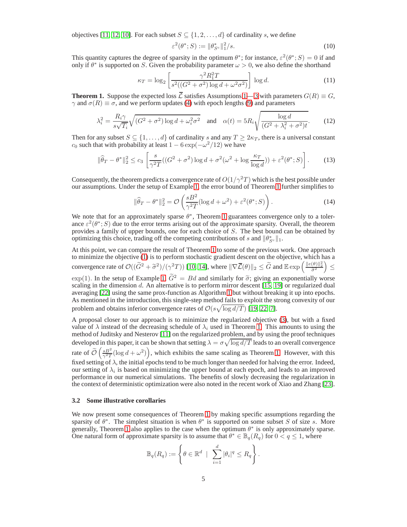objectives [11, 12, 10]. For each subset  $S \subseteq \{1, 2, \ldots, d\}$  of cardinality s, we define

$$
\varepsilon^2(\theta^*; S) := \|\theta^*_{S^c}\|_1^2/s. \tag{10}
$$

This quantity captures the degree of sparsity in the optimum  $\theta^*$ ; for instance,  $\varepsilon^2(\theta^*;S) = 0$  if and only if  $\theta^*$  is supported on S. Given the probability parameter  $\omega > 0$ , we also define the shorthand

$$
\kappa_T = \log_2\left[\frac{\gamma^2 R_1^2 T}{s^2((G^2 + \sigma^2)\log d + \omega^2 \sigma^2)}\right] \log d. \tag{11}
$$

**Theorem 1.** Suppose the expected loss  $\overline{L}$  satisfies Assumptions 1— 3 with parameters  $G(R) \equiv G$ ,  $\gamma$  and  $\sigma(R) \equiv \sigma$ , and we perform updates (4) with epoch lengths (9) and parameters

$$
\lambda_i^2 = \frac{R_i \gamma}{s\sqrt{T_i}} \sqrt{(G^2 + \sigma^2) \log d + \omega_i^2 \sigma^2} \quad \text{and} \quad \alpha(t) = 5R_i \sqrt{\frac{\log d}{(G^2 + \lambda_i^2 + \sigma^2)t}}.\tag{12}
$$

Then for any subset  $S \subseteq \{1, \ldots, d\}$  of cardinality s and any  $T \geq 2\kappa_T$ , there is a universal constant  $c_0$  such that with probability at least  $1 - 6 \exp(-\omega^2/12)$  we have

$$
\|\widehat{\theta}_T - \theta^*\|_2^2 \le c_3 \left[ \frac{s}{\gamma^2 T} ((G^2 + \sigma^2) \log d + \sigma^2 (\omega^2 + \log \frac{\kappa_T}{\log d})) + \varepsilon^2 (\theta^*; S) \right]. \tag{13}
$$

Consequently, the theorem predicts a convergence rate of  $O(1/\gamma^2T)$  which is the best possible under our assumptions. Under the setup of Example 1, the error bound of Theorem 1 further simplifies to

$$
\|\widehat{\theta}_T - \theta^*\|_2^2 = \mathcal{O}\left(\frac{sB^2}{\gamma^2 T} (\log d + \omega^2) + \varepsilon^2 (\theta^*; S)\right). \tag{14}
$$

We note that for an approximately sparse  $\theta^*$ , Theorem 1 guarantees convergence only to a tolerance  $\varepsilon^2(\theta^*;S)$  due to the error terms arising out of the approximate sparsity. Overall, the theorem provides a family of upper bounds, one for each choice of S. The best bound can be obtained by optimizing this choice, trading off the competing contributions of s and  $\|\theta_{S^c}^*\|_1$ .

At this point, we can compare the result of Theorem 1 to some of the previous work. One approach to minimize the objective (1) is to perform stochastic gradient descent on the objective, which has a convergence rate of  $\mathcal{O}((\widetilde{G}^2 + \widetilde{\sigma}^2)/(\gamma^2 T))$  [10, 14], where  $\|\nabla \overline{\mathcal{L}}(\theta)\|_2 \leq \widetilde{G}$  and  $\mathbb{E} \exp\left(\frac{\|e(\theta)\|_2^2}{\widetilde{\sigma}^2}\right)$  $\overline{ }$ ≤ exp(1). In the setup of Example 1,  $\tilde{G}^2 = Bd$  and similarly for  $\tilde{\sigma}$ ; giving an exponentially worse scaling in the dimension d. An alternative is to perform mirror descent [15, 19] or regularized dual averaging [22] using the same prox-function as Algorithm 1 but without breaking it up into epochs. As mentioned in the introduction, this single-step method fails to exploit the strong convexity of our problem and obtains inferior convergence rates of  $\mathcal{O}(s\sqrt{\log d/T})$  [19, 22, 7].

A proposal closer to our approach is to minimize the regularized objective (3), but with a fixed value of  $\lambda$  instead of the decreasing schedule of  $\lambda_i$  used in Theorem 1. This amounts to using the method of Juditsky and Nesterov [11] on the regularized problem, and by using the proof techniques developed in this paper, it can be shown that setting  $\lambda = \sigma \sqrt{\log d/T}$  leads to an overall convergence rate of  $\tilde{\mathcal{O}}\left(\frac{sB^2}{\gamma^2T}(\log d + \omega^2)\right)$ , which exhibits the same scaling as Theorem 1. However, with this fixed setting of  $\lambda$ , the initial epochs tend to be much longer than needed for halving the error. Indeed, our setting of  $\lambda_i$  is based on minimizing the upper bound at each epoch, and leads to an improved performance in our numerical simulations. The benefits of slowly decreasing the regularization in the context of deterministic optimization were also noted in the recent work of Xiao and Zhang [23].

#### **3.2 Some illustrative corollaries**

We now present some consequences of Theorem 1 by making specific assumptions regarding the sparsity of  $\theta^*$ . The simplest situation is when  $\theta^*$  is supported on some subset S of size s. More generally, Theorem 1 also applies to the case when the optimum  $\theta^*$  is only approximately sparse. One natural form of approximate sparsity is to assume that  $\theta^* \in \mathbb{B}_q(R_q)$  for  $0 < q \leq 1$ , where

$$
\mathbb{B}_q(R_q) := \left\{ \theta \in \mathbb{R}^d \mid \sum_{i=1}^d |\theta_i|^q \le R_q \right\}.
$$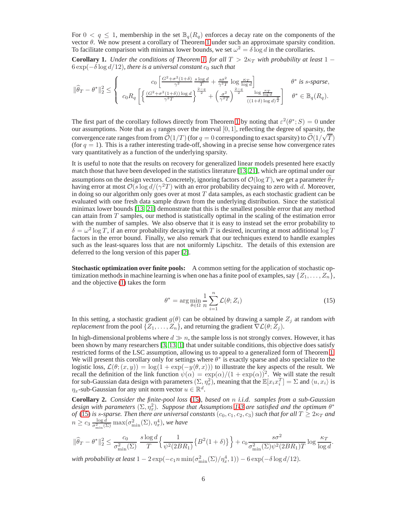For  $0 < q \leq 1$ , membership in the set  $\mathbb{B}_q(R_q)$  enforces a decay rate on the components of the vector θ. We now present a corollary of Theorem 1 under such an approximate sparsity condition. To facilitate comparison with minimax lower bounds, we set  $\omega^2 = \delta \log d$  in the corollaries.

**Corollary 1.** *Under the conditions of Theorem 1, for all*  $T > 2\kappa_T$  *with probability at least* 1 −  $6 \exp(-\delta \log d/12)$ *, there is a universal constant*  $c_0$  *such that* 

$$
\|\widehat{\theta}_T - \theta^*\|_2^2 \le \left\{ \begin{array}{cc} c_0\left[\frac{G^2 + \sigma^2(1+\delta)}{\gamma^2} \frac{s\log d}{T} + \frac{s\sigma^2}{\gamma^2 T} \log\frac{\kappa_T}{\log d}\right] & \theta^* \text{ is } s\text{-sparse}, \\ c_0R_q\left[\left\{\frac{(G^2 + \sigma^2(1+\delta))\log d}{\gamma^2 T}\right\}^{\frac{2-q}{2}} + \left(\frac{\sigma^2}{\gamma^2 T}\right)^{\frac{2-q}{2}} \frac{\log\frac{\kappa_T}{\log d}}{\left((1+\delta)\log d\right)^{\frac{q}{2}}}\right] & \theta^* \in \mathbb{B}_q(R_q). \end{array} \right.
$$

The first part of the corollary follows directly from Theorem 1 by noting that  $\varepsilon^2(\theta^*;S) = 0$  under our assumptions. Note that as q ranges over the interval  $[0, 1]$ , reflecting the degree of sparsity, the convergence rate ranges from from  $\tilde{\mathcal{O}}(1/T)$  (for  $q = 0$  corresponding to exact sparsity) to  $\tilde{\mathcal{O}}(1/\sqrt{T})$ (for  $q = 1$ ). This is a rather interesting trade-off, showing in a precise sense how convergence rates vary quantitatively as a function of the underlying sparsity.

It is useful to note that the results on recovery for generalized linear models presented here exactly match those that have been developed in the statistics literature [13, 21], which are optimal under our assumptions on the design vectors. Concretely, ignoring factors of  $\mathcal{O}(\log T)$ , we get a parameter  $\theta_T$ having error at most  $\mathcal{O}(s \log d/(\gamma^2 T))$  with an error probability decyaing to zero with d. Moreover, in doing so our algorithm only goes over at most  $T$  data samples, as each stochastic gradient can be evaluated with one fresh data sample drawn from the underlying distribution. Since the statistical minimax lower bounds [13, 21] demonstrate that this is the smallest possible error that any method can attain from  $T$  samples, our method is statistically optimal in the scaling of the estimation error with the number of samples. We also observe that it is easy to instead set the error probability to  $\delta = \omega^2 \log T$ , if an error probability decaying with T is desired, incurring at most additional log T factors in the error bound. Finally, we also remark that our techniques extend to handle examples such as the least-squares loss that are not uniformly Lipschitz. The details of this extension are deferred to the long version of this paper [2].

**Stochastic optimization over finite pools:** A common setting for the application of stochastic optimization methods in machine learning is when one has a finite pool of examples, say  $\{Z_1, \ldots, Z_n\}$ , and the objective (1) takes the form

$$
\theta^* = \arg\min_{\theta \in \Omega} \frac{1}{n} \sum_{i=1}^n \mathcal{L}(\theta; Z_i)
$$
\n(15)

In this setting, a stochastic gradient  $g(\theta)$  can be obtained by drawing a sample  $Z_j$  at random *with replacement* from the pool  $\{Z_1, \ldots, Z_n\}$ , and returning the gradient  $\nabla \mathcal{L}(\theta; Z_j)$ .

In high-dimensional problems where  $d \gg n$ , the sample loss is not strongly convex. However, it has been shown by many researchers [3, 13, 1] that under suitable conditions, this objective does satisfy restricted forms of the LSC assumption, allowing us to appeal to a generalized form of Theorem 1. We will present this corollary only for settings where  $\theta^*$  is exactly sparse and also specialize to the logistic loss,  $\mathcal{L}(\theta; (x, y)) = \log(1 + \exp(-y \langle \theta, x \rangle))$  to illustrate the key aspects of the result. We recall the definition of the link function  $\psi(\alpha) = \exp(\alpha)/(1 + \exp(\alpha))^2$ . We will state the result for sub-Gaussian data design with parameters  $(\Sigma, \eta_x^2)$ , meaning that the  $\mathbb{E}[x_i x_i^T] = \Sigma$  and  $\langle u, x_i \rangle$  is  $\eta_x$ -sub-Gaussian for any unit norm vector  $u \in \mathbb{R}^d$ .

**Corollary 2.** *Consider the finite-pool loss* (15)*, based on* n *i.i.d. samples from a sub-Gaussian* design with parameters  $(\Sigma, \eta_x^2)$ . Suppose that Assumptions 1-3 are satisfied and the optimum  $\theta^*$ *of* (15) *is s-sparse. Then there are universal constants* ( $c_0$ ,  $c_1$ ,  $c_2$ ,  $c_3$ ) *such that for all*  $T \geq 2\kappa_T$  *and*  $of$  (15) *is s-sparse. Then there are universal constants* ( $c_0$ ,  $c_1$ ,  $c_2$ ,  $c_3$ ) *such*  $n \geq c_3 \frac{\log d}{\sigma_{\min}^2(\Sigma)}$  $\frac{\log d}{\sigma_{\min}^2(\Sigma)}\max(\sigma_{\min}^2(\Sigma),\eta_x^4)$ , we have

$$
\|\widehat{\theta}_T - \theta^*\|_2^2 \le \frac{c_0}{\sigma_{\min}^2(\Sigma)} \frac{s \log d}{T} \Big\{ \frac{1}{\psi^2(2BR_1)} \big\{ B^2(1+\delta) \big\} \Big\} + c_0 \frac{s \sigma^2}{\sigma_{\min}^2(\Sigma) \psi^2(2BR_1)T} \log \frac{\kappa_T}{\log d}.
$$

with probability at least  $1 - 2\exp(-c_1 n \min(\sigma_{\min}^2(\Sigma)/\eta_x^4, 1)) - 6\exp(-\delta \log d/12)$ .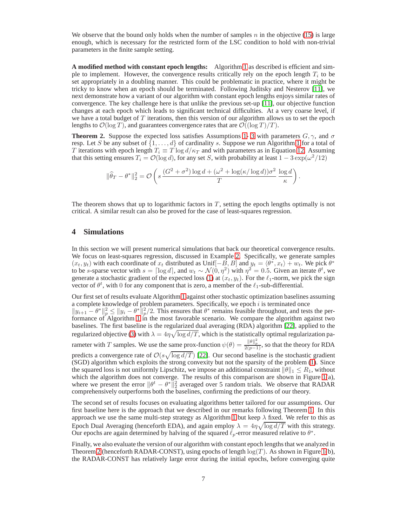We observe that the bound only holds when the number of samples n in the objective  $(15)$  is large enough, which is necessary for the restricted form of the LSC condition to hold with non-trivial parameters in the finite sample setting.

**A modified method with constant epoch lengths:** Algorithm 1 as described is efficient and simple to implement. However, the convergence results critically rely on the epoch length  $T_i$  to be set appropriately in a doubling manner. This could be problematic in practice, where it might be tricky to know when an epoch should be terminated. Following Juditsky and Nesterov [11], we next demonstrate how a variant of our algorithm with constant epoch lengths enjoys similar rates of convergence. The key challenge here is that unlike the previous set-up [11], our objective function changes at each epoch which leads to significant technical difficulties. At a very coarse level, if we have a total budget of  $T$  iterations, then this version of our algorithm allows us to set the epoch lengths to  $\mathcal{O}(\log T)$ , and guarantees convergence rates that are  $\mathcal{O}((\log T)/T)$ .

**Theorem 2.** Suppose the expected loss satisfies Assumptions 1- 3 with parameters  $G, \gamma$ , and  $\sigma$ resp. Let S be any subset of  $\{1, \ldots, d\}$  of cardinality s. Suppose we run Algorithm 1 for a total of T iterations with epoch length  $T_i \equiv T \log d/\kappa_T$  and with parameters as in Equation 12. Assuming that this setting ensures  $T_i = \mathcal{O}(\log d)$ , for any set S, with probability at least  $1 - 3 \exp(\omega^2/12)$ 

$$
\|\widehat{\theta}_T - \theta^*\|_2^2 = \mathcal{O}\left(s\,\frac{(G^2 + \sigma^2)\log d + (\omega^2 + \log(\kappa/\log d))\sigma^2}{T}\,\frac{\log d}{\kappa}\right).
$$

The theorem shows that up to logarithmic factors in  $T$ , setting the epoch lengths optimally is not critical. A similar result can also be proved for the case of least-squares regression.

## **4 Simulations**

In this section we will present numerical simulations that back our theoretical convergence results. We focus on least-squares regression, discussed in Example 2. Specifically, we generate samples  $(x_t, y_t)$  with each coordinate of  $x_t$  distributed as Unif $[-B, B]$  and  $y_t = \langle \theta^*, x_t \rangle + w_t$ . We pick  $\theta^*$ to be s-sparse vector with  $s = \lceil \log d \rceil$ , and  $w_t \sim \mathcal{N}(0, \eta^2)$  with  $\eta^2 = 0.5$ . Given an iterate  $\theta^t$ , we generate a stochastic gradient of the expected loss (1) at  $(x_t, y_t)$ . For the  $\ell_1$ -norm, we pick the sign vector of  $\theta^t$ , with 0 for any component that is zero, a member of the  $\ell_1$ -sub-differential.

Our first set of results evaluate Algorithm 1 against other stochastic optimization baselines assuming a complete knowledge of problem parameters. Specifically, we epoch  $i$  is terminated once  $||y_{i+1} - \theta^*||_p^2 \le ||y_i - \theta^*||_p^2/2$ . This ensures that  $\theta^*$  remains feasible throughout, and tests the performance of Algorithm 1 in the most favorable scenario. We compare the algorithm against two baselines. The first baseline is the regularized dual averaging (RDA) algorithm [22], applied to the regularized objective (3) with  $\lambda = 4\eta \sqrt{\log d/T}$ , which is the statistically optimal regularization parameter with T samples. We use the same prox-function  $\psi(\theta) = \frac{\|\theta\|_p^2}{2(p-1)}$ , so that the theory for RDA predicts a convergence rate of  $\mathcal{O}(s\sqrt{\log d/T})$  [22]. Our second baseline is the stochastic gradient (SGD) algorithm which exploits the strong convexity but not the sparsity of the problem (1). Since the squared loss is not uniformly Lipschitz, we impose an additional constraint  $\|\theta\|_1 \leq R_1$ , without which the algorithm does not converge. The results of this comparison are shown in Figure 1(a), where we present the error  $\|\theta^t - \theta^*\|_2^2$  averaged over 5 random trials. We observe that RADAR comprehensively outperforms both the baselines, confirming the predictions of our theory.

The second set of results focuses on evaluating algorithms better tailored for our assumptions. Our first baseline here is the approach that we described in our remarks following Theorem 1. In this approach we use the same multi-step strategy as Algorithm 1 but keep  $\lambda$  fixed. We refer to this as Epoch Dual Averaging (henceforth EDA), and again employ  $\lambda = 4\eta \sqrt{\log d/T}$  with this strategy. Our epochs are again determined by halving of the squared  $\ell_p$ -error measured relative to  $\theta^*$ .

Finally, we also evaluate the version of our algorithm with constant epoch lengths that we analyzed in Theorem 2 (henceforth RADAR-CONST), using epochs of length  $log(T)$ . As shown in Figure 1(b), the RADAR-CONST has relatively large error during the initial epochs, before converging quite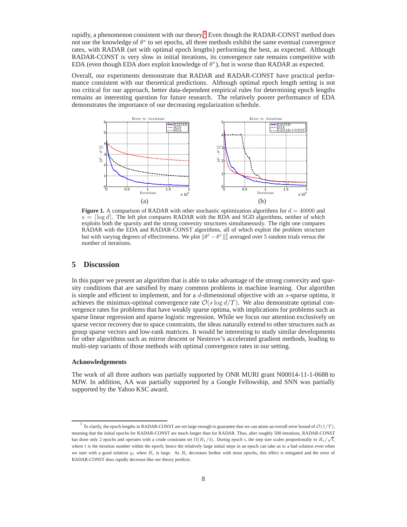rapidly, a phenomenon consistent with our theory.<sup>1</sup> Even though the RADAR-CONST method does not use the knowledge of  $\theta^*$  to set epochs, all three methods exhibit the same eventual convergence rates, with RADAR (set with optimal epoch lengths) performing the best, as expected. Although RADAR-CONST is very slow in initial iterations, its convergence rate remains competitive with EDA (even though EDA *does* exploit knowledge of  $\theta^*$ ), but is worse than RADAR as expected.

Overall, our experiments demonstrate that RADAR and RADAR-CONST have practical performance consistent with our theoretical predictions. Although optimal epoch length setting is not too critical for our approach, better data-dependent empirical rules for determining epoch lengths remains an interesting question for future research. The relatively poorer performance of EDA demonstrates the importance of our decreasing regularization schedule.



**Figure 1.** A comparison of RADAR with other stochastic optimization algorithms for  $d = 40000$  and  $s = \lceil \log d \rceil$ . The left plot compares RADAR with the RDA and SGD algorithms, neither of which exploits both the sparsity and the strong convexity structures simultaneously. The right one compares RADAR with the EDA and RADAR-CONST algorithms, all of which exploit the problem structure but with varying degrees of effectiveness. We plot  $\|\theta^t - \theta^*\|_2^2$  averaged over 5 random trials versus the number of iterations.

## **5 Discussion**

In this paper we present an algorithm that is able to take advantage of the strong convexity and sparsity conditions that are satsified by many common problems in machine learning. Our algorithm is simple and efficient to implement, and for a  $d$ -dimensional objective with an  $s$ -sparse optima, it achieves the minimax-optimal convergence rate  $\mathcal{O}(s \log d/T)$ . We also demonstrate optimal convergence rates for problems that have weakly sparse optima, with implications for problems such as sparse linear regression and sparse logistic regression. While we focus our attention exclusively on sparse vector recovery due to space constraints, the ideas naturally extend to other structures such as group sparse vectors and low-rank matrices. It would be interesting to study similar developments for other algorithms such as mirror descent or Nesterov's accelerated gradient methods, leading to multi-step variants of those methods with optimal convergence rates in our setting.

#### **Acknowledgements**

The work of all three authors was partially supported by ONR MURI grant N00014-11-1-0688 to MJW. In addition, AA was partially supported by a Google Fellowship, and SNN was partially supported by the Yahoo KSC award.

<sup>&</sup>lt;sup>1</sup> To clarify, the epoch lengths in RADAR-CONST are set large enough to guarantee that we can attain an overall error bound of  $\mathcal{O}(1/T)$ , meaning that the initial epochs for RADAR-CONST are much longer than for RADAR. Thus, after roughly 500 iterations, RADAR-CONST has done only 2 epochs and operates with a crude constraint set  $\Omega(R_1/4)$ . During epoch *i*, the step size scales proportionally to  $R_i/\sqrt{t}$ , where  $t$  is the iteration number within the epoch; hence the relatively large initial steps in an epoch can take us to a bad solution even when we start with a good solution  $y_i$  when  $R_i$  is large. As  $R_i$  decreases further with more epochs, this effect is mitigated and the error of RADAR-CONST does rapidly decrease like our theory predicts.